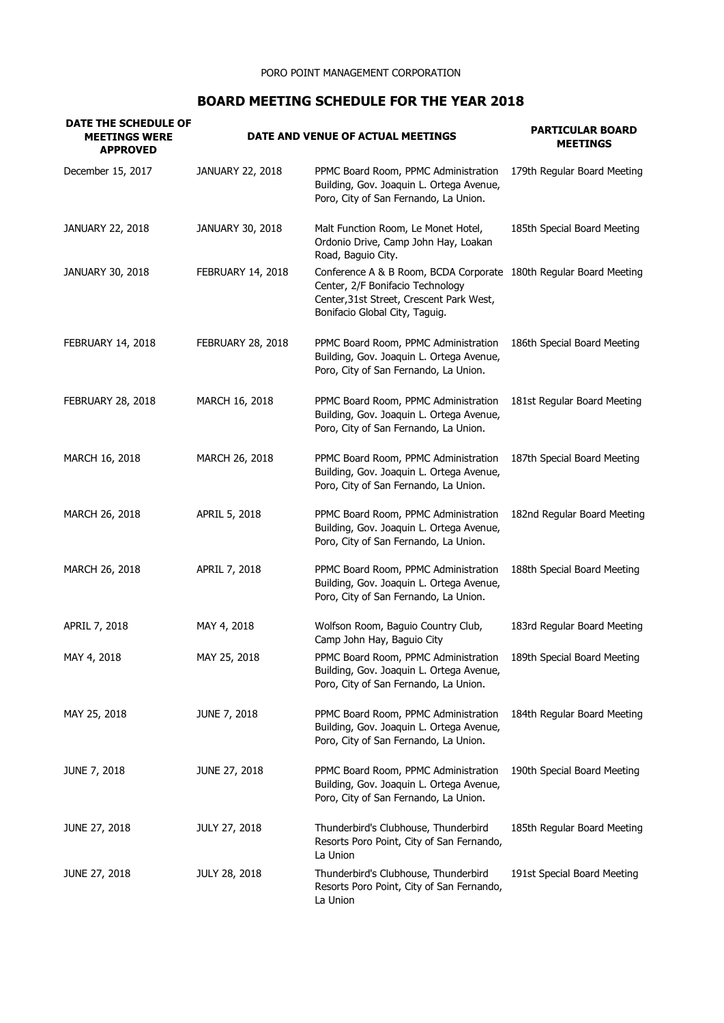## **BOARD MEETING SCHEDULE FOR THE YEAR 2018**

| DATE THE SCHEDULE OF<br><b>MEETINGS WERE</b><br><b>APPROVED</b> |                      | DATE AND VENUE OF ACTUAL MEETINGS                                                                                                                                                   | <b>PARTICULAR BOARD</b><br><b>MEETINGS</b> |
|-----------------------------------------------------------------|----------------------|-------------------------------------------------------------------------------------------------------------------------------------------------------------------------------------|--------------------------------------------|
| December 15, 2017                                               | JANUARY 22, 2018     | PPMC Board Room, PPMC Administration<br>Building, Gov. Joaquin L. Ortega Avenue,<br>Poro, City of San Fernando, La Union.                                                           | 179th Regular Board Meeting                |
| JANUARY 22, 2018                                                | JANUARY 30, 2018     | Malt Function Room, Le Monet Hotel,<br>Ordonio Drive, Camp John Hay, Loakan<br>Road, Baguio City.                                                                                   | 185th Special Board Meeting                |
| JANUARY 30, 2018                                                | FEBRUARY 14, 2018    | Conference A & B Room, BCDA Corporate 180th Regular Board Meeting<br>Center, 2/F Bonifacio Technology<br>Center, 31st Street, Crescent Park West,<br>Bonifacio Global City, Taguig. |                                            |
| FEBRUARY 14, 2018                                               | FEBRUARY 28, 2018    | PPMC Board Room, PPMC Administration<br>Building, Gov. Joaquin L. Ortega Avenue,<br>Poro, City of San Fernando, La Union.                                                           | 186th Special Board Meeting                |
| <b>FEBRUARY 28, 2018</b>                                        | MARCH 16, 2018       | PPMC Board Room, PPMC Administration<br>Building, Gov. Joaquin L. Ortega Avenue,<br>Poro, City of San Fernando, La Union.                                                           | 181st Regular Board Meeting                |
| MARCH 16, 2018                                                  | MARCH 26, 2018       | PPMC Board Room, PPMC Administration<br>Building, Gov. Joaquin L. Ortega Avenue,<br>Poro, City of San Fernando, La Union.                                                           | 187th Special Board Meeting                |
| MARCH 26, 2018                                                  | APRIL 5, 2018        | PPMC Board Room, PPMC Administration<br>Building, Gov. Joaquin L. Ortega Avenue,<br>Poro, City of San Fernando, La Union.                                                           | 182nd Regular Board Meeting                |
| MARCH 26, 2018                                                  | APRIL 7, 2018        | PPMC Board Room, PPMC Administration<br>Building, Gov. Joaquin L. Ortega Avenue,<br>Poro, City of San Fernando, La Union.                                                           | 188th Special Board Meeting                |
| APRIL 7, 2018                                                   | MAY 4, 2018          | Wolfson Room, Baguio Country Club,<br>Camp John Hay, Baguio City                                                                                                                    | 183rd Regular Board Meeting                |
| MAY 4, 2018                                                     | MAY 25, 2018         | PPMC Board Room, PPMC Administration<br>Building, Gov. Joaquin L. Ortega Avenue,<br>Poro, City of San Fernando, La Union.                                                           | 189th Special Board Meeting                |
| MAY 25, 2018                                                    | <b>JUNE 7, 2018</b>  | PPMC Board Room, PPMC Administration<br>Building, Gov. Joaquin L. Ortega Avenue,<br>Poro, City of San Fernando, La Union.                                                           | 184th Regular Board Meeting                |
| <b>JUNE 7, 2018</b>                                             | JUNE 27, 2018        | PPMC Board Room, PPMC Administration<br>Building, Gov. Joaquin L. Ortega Avenue,<br>Poro, City of San Fernando, La Union.                                                           | 190th Special Board Meeting                |
| JUNE 27, 2018                                                   | <b>JULY 27, 2018</b> | Thunderbird's Clubhouse, Thunderbird<br>Resorts Poro Point, City of San Fernando,<br>La Union                                                                                       | 185th Regular Board Meeting                |
| JUNE 27, 2018                                                   | <b>JULY 28, 2018</b> | Thunderbird's Clubhouse, Thunderbird<br>Resorts Poro Point, City of San Fernando,<br>La Union                                                                                       | 191st Special Board Meeting                |